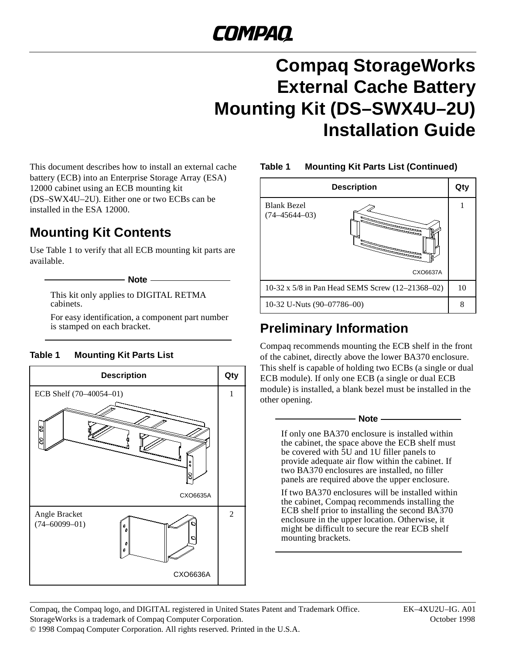# COMPAQ

## **Compaq StorageWorks External Cache Battery Mounting Kit (DS–SWX4U–2U) Installation Guide**

This document describes how to install an external cache battery (ECB) into an Enterprise Storage Array (ESA) 12000 cabinet using an ECB mounting kit (DS–SWX4U–2U). Either one or two ECBs can be installed in the ESA 12000.

## **Mounting Kit Contents**

Use Table 1 to verify that all ECB mounting kit parts are available.

 $-$  Note  $-$ 

This kit only applies to DIGITAL RETMA cabinets.

For easy identification, a component part number<br>is stamped on each bracket.

#### **Table 1 Mounting Kit Parts List**





### **Preliminary Information**

Compaq recommends mounting the ECB shelf in the front of the cabinet, directly above the lower BA370 enclosure. This shelf is capable of holding two ECBs (a single or dual ECB module). If only one ECB (a single or dual ECB module) is installed, a blank bezel must be installed in the other opening.

#### $-$  Note  $-$

If only one BA370 enclosure is installed within the cabinet, the space above the ECB shelf must be covered with 5U and 1U filler panels to provide adequate air flow within the cabinet. If two BA370 enclosures are installed, no filler panels are required above the upper enclosure.

If two BA370 enclosures will be installed within the cabinet, Compaq recommends installing the ECB shelf prior to installing the second BA370 enclosure in the upper location. Otherwise, it might be difficult to secure the rear ECB shelf mounting brackets.

Compaq, the Compaq logo, and DIGITAL registered in United States Patent and Trademark Office. EK–4XU2U–IG. A01 StorageWorks is a trademark of Compaq Computer Corporation. October 1998 © 1998 Compaq Computer Corporation. All rights reserved. Printed in the U.S.A.